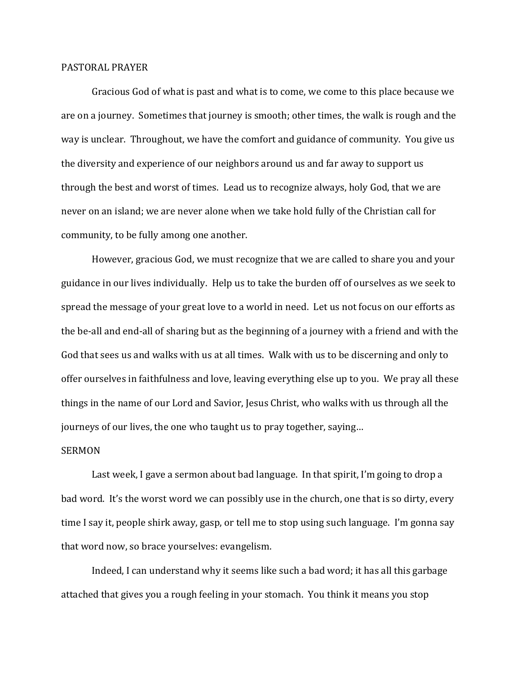## PASTORAL PRAYER

Gracious God of what is past and what is to come, we come to this place because we are on a journey. Sometimes that journey is smooth; other times, the walk is rough and the way is unclear. Throughout, we have the comfort and guidance of community. You give us the diversity and experience of our neighbors around us and far away to support us through the best and worst of times. Lead us to recognize always, holy God, that we are never on an island; we are never alone when we take hold fully of the Christian call for community, to be fully among one another.

However, gracious God, we must recognize that we are called to share you and your guidance in our lives individually. Help us to take the burden off of ourselves as we seek to spread the message of your great love to a world in need. Let us not focus on our efforts as the be-all and end-all of sharing but as the beginning of a journey with a friend and with the God that sees us and walks with us at all times. Walk with us to be discerning and only to offer ourselves in faithfulness and love, leaving everything else up to you. We pray all these things in the name of our Lord and Savior, Jesus Christ, who walks with us through all the journeys of our lives, the one who taught us to pray together, saying…

## SERMON

Last week, I gave a sermon about bad language. In that spirit, I'm going to drop a bad word. It's the worst word we can possibly use in the church, one that is so dirty, every time I say it, people shirk away, gasp, or tell me to stop using such language. I'm gonna say that word now, so brace yourselves: evangelism.

Indeed, I can understand why it seems like such a bad word; it has all this garbage attached that gives you a rough feeling in your stomach. You think it means you stop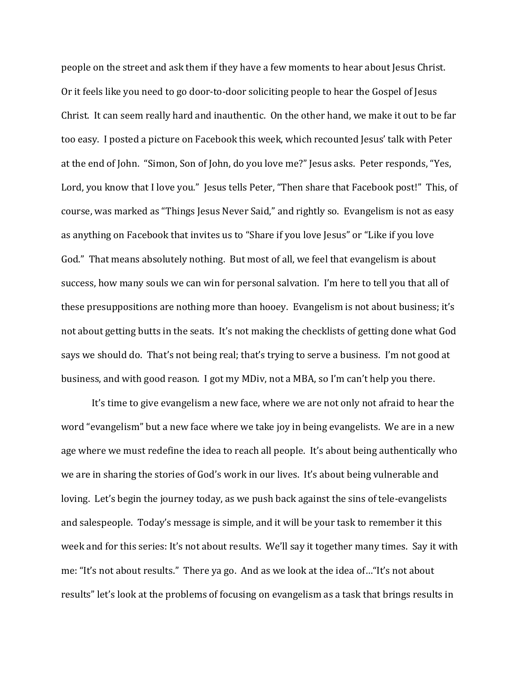people on the street and ask them if they have a few moments to hear about Jesus Christ. Or it feels like you need to go door-to-door soliciting people to hear the Gospel of Jesus Christ. It can seem really hard and inauthentic. On the other hand, we make it out to be far too easy. I posted a picture on Facebook this week, which recounted Jesus' talk with Peter at the end of John. "Simon, Son of John, do you love me?" Jesus asks. Peter responds, "Yes, Lord, you know that I love you." Jesus tells Peter, "Then share that Facebook post!" This, of course, was marked as "Things Jesus Never Said," and rightly so. Evangelism is not as easy as anything on Facebook that invites us to "Share if you love Jesus" or "Like if you love God." That means absolutely nothing. But most of all, we feel that evangelism is about success, how many souls we can win for personal salvation. I'm here to tell you that all of these presuppositions are nothing more than hooey. Evangelism is not about business; it's not about getting butts in the seats. It's not making the checklists of getting done what God says we should do. That's not being real; that's trying to serve a business. I'm not good at business, and with good reason. I got my MDiv, not a MBA, so I'm can't help you there.

It's time to give evangelism a new face, where we are not only not afraid to hear the word "evangelism" but a new face where we take joy in being evangelists. We are in a new age where we must redefine the idea to reach all people. It's about being authentically who we are in sharing the stories of God's work in our lives. It's about being vulnerable and loving. Let's begin the journey today, as we push back against the sins of tele-evangelists and salespeople. Today's message is simple, and it will be your task to remember it this week and for this series: It's not about results. We'll say it together many times. Say it with me: "It's not about results." There ya go. And as we look at the idea of…"It's not about results" let's look at the problems of focusing on evangelism as a task that brings results in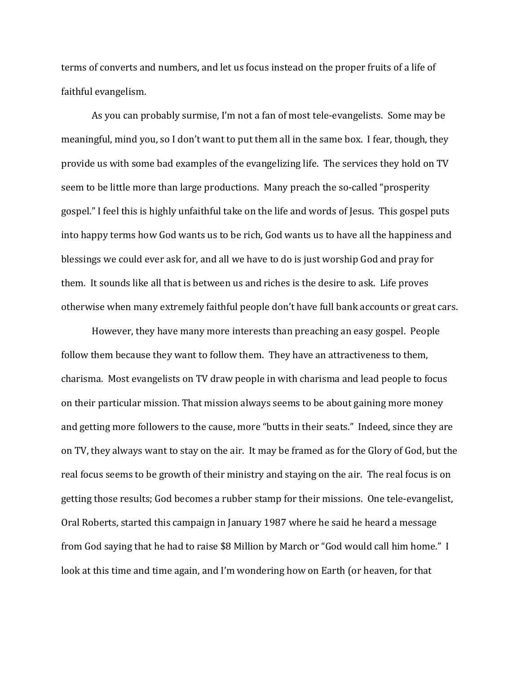terms of converts and numbers, and let us focus instead on the proper fruits of a life of faithful evangelism.

As you can probably surmise, I'm not a fan of most tele-evangelists. Some may be meaningful, mind you, so I don't want to put them all in the same box. I fear, though, they provide us with some bad examples of the evangelizing life. The services they hold on TV seem to be little more than large productions. Many preach the so-called "prosperity gospel." I feel this is highly unfaithful take on the life and words of Jesus. This gospel puts into happy terms how God wants us to be rich, God wants us to have all the happiness and blessings we could ever ask for, and all we have to do is just worship God and pray for them. It sounds like all that is between us and riches is the desire to ask. Life proves otherwise when many extremely faithful people don't have full bank accounts or great cars.

However, they have many more interests than preaching an easy gospel. People follow them because they want to follow them. They have an attractiveness to them, charisma. Most evangelists on TV draw people in with charisma and lead people to focus on their particular mission. That mission always seems to be about gaining more money and getting more followers to the cause, more "butts in their seats." Indeed, since they are on TV, they always want to stay on the air. It may be framed as for the Glory of God, but the real focus seems to be growth of their ministry and staying on the air. The real focus is on getting those results; God becomes a rubber stamp for their missions. One tele-evangelist, Oral Roberts, started this campaign in January 1987 where he said he heard a message from God saying that he had to raise \$8 Million by March or "God would call him home." I look at this time and time again, and I'm wondering how on Earth (or heaven, for that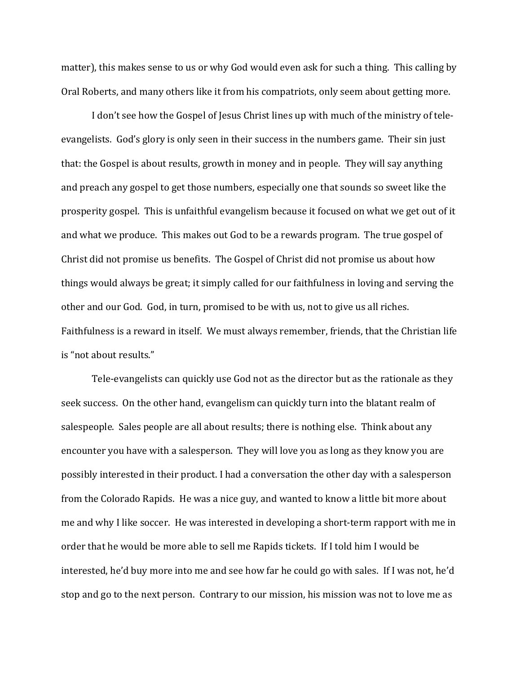matter), this makes sense to us or why God would even ask for such a thing. This calling by Oral Roberts, and many others like it from his compatriots, only seem about getting more.

I don't see how the Gospel of Jesus Christ lines up with much of the ministry of teleevangelists. God's glory is only seen in their success in the numbers game. Their sin just that: the Gospel is about results, growth in money and in people. They will say anything and preach any gospel to get those numbers, especially one that sounds so sweet like the prosperity gospel. This is unfaithful evangelism because it focused on what we get out of it and what we produce. This makes out God to be a rewards program. The true gospel of Christ did not promise us benefits. The Gospel of Christ did not promise us about how things would always be great; it simply called for our faithfulness in loving and serving the other and our God. God, in turn, promised to be with us, not to give us all riches. Faithfulness is a reward in itself. We must always remember, friends, that the Christian life is "not about results."

Tele-evangelists can quickly use God not as the director but as the rationale as they seek success. On the other hand, evangelism can quickly turn into the blatant realm of salespeople. Sales people are all about results; there is nothing else. Think about any encounter you have with a salesperson. They will love you as long as they know you are possibly interested in their product. I had a conversation the other day with a salesperson from the Colorado Rapids. He was a nice guy, and wanted to know a little bit more about me and why I like soccer. He was interested in developing a short-term rapport with me in order that he would be more able to sell me Rapids tickets. If I told him I would be interested, he'd buy more into me and see how far he could go with sales. If I was not, he'd stop and go to the next person. Contrary to our mission, his mission was not to love me as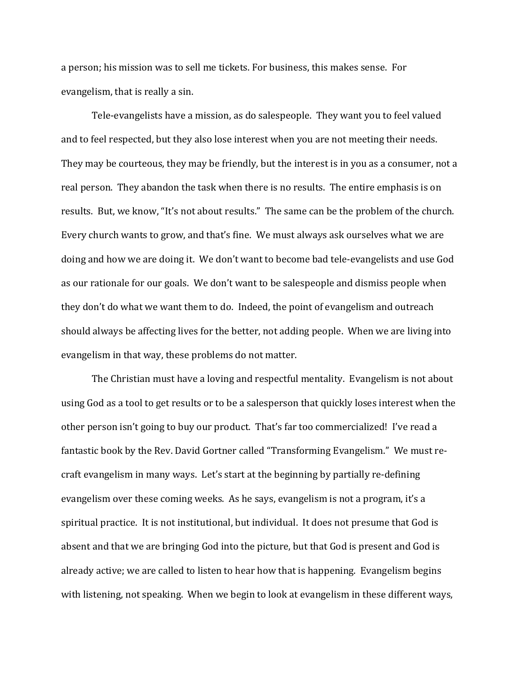a person; his mission was to sell me tickets. For business, this makes sense. For evangelism, that is really a sin.

Tele-evangelists have a mission, as do salespeople. They want you to feel valued and to feel respected, but they also lose interest when you are not meeting their needs. They may be courteous, they may be friendly, but the interest is in you as a consumer, not a real person. They abandon the task when there is no results. The entire emphasis is on results. But, we know, "It's not about results." The same can be the problem of the church. Every church wants to grow, and that's fine. We must always ask ourselves what we are doing and how we are doing it. We don't want to become bad tele-evangelists and use God as our rationale for our goals. We don't want to be salespeople and dismiss people when they don't do what we want them to do. Indeed, the point of evangelism and outreach should always be affecting lives for the better, not adding people. When we are living into evangelism in that way, these problems do not matter.

The Christian must have a loving and respectful mentality. Evangelism is not about using God as a tool to get results or to be a salesperson that quickly loses interest when the other person isn't going to buy our product. That's far too commercialized! I've read a fantastic book by the Rev. David Gortner called "Transforming Evangelism." We must recraft evangelism in many ways. Let's start at the beginning by partially re-defining evangelism over these coming weeks. As he says, evangelism is not a program, it's a spiritual practice. It is not institutional, but individual. It does not presume that God is absent and that we are bringing God into the picture, but that God is present and God is already active; we are called to listen to hear how that is happening. Evangelism begins with listening, not speaking. When we begin to look at evangelism in these different ways,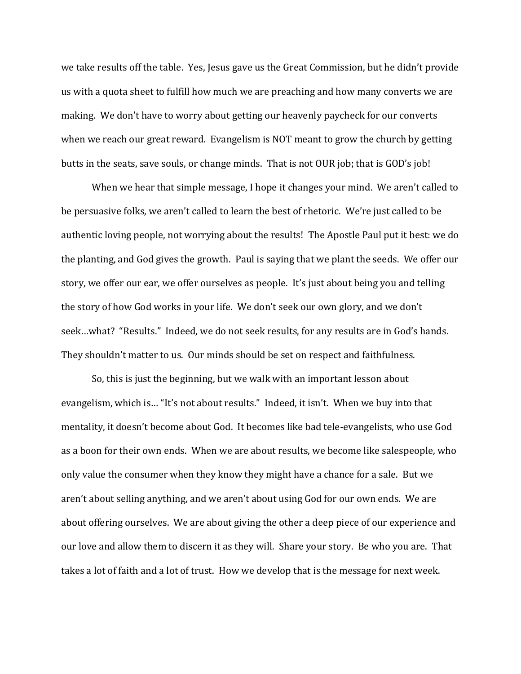we take results off the table. Yes, Jesus gave us the Great Commission, but he didn't provide us with a quota sheet to fulfill how much we are preaching and how many converts we are making. We don't have to worry about getting our heavenly paycheck for our converts when we reach our great reward. Evangelism is NOT meant to grow the church by getting butts in the seats, save souls, or change minds. That is not OUR job; that is GOD's job!

When we hear that simple message, I hope it changes your mind. We aren't called to be persuasive folks, we aren't called to learn the best of rhetoric. We're just called to be authentic loving people, not worrying about the results! The Apostle Paul put it best: we do the planting, and God gives the growth. Paul is saying that we plant the seeds. We offer our story, we offer our ear, we offer ourselves as people. It's just about being you and telling the story of how God works in your life. We don't seek our own glory, and we don't seek…what? "Results." Indeed, we do not seek results, for any results are in God's hands. They shouldn't matter to us. Our minds should be set on respect and faithfulness.

So, this is just the beginning, but we walk with an important lesson about evangelism, which is… "It's not about results." Indeed, it isn't. When we buy into that mentality, it doesn't become about God. It becomes like bad tele-evangelists, who use God as a boon for their own ends. When we are about results, we become like salespeople, who only value the consumer when they know they might have a chance for a sale. But we aren't about selling anything, and we aren't about using God for our own ends. We are about offering ourselves. We are about giving the other a deep piece of our experience and our love and allow them to discern it as they will. Share your story. Be who you are. That takes a lot of faith and a lot of trust. How we develop that is the message for next week.